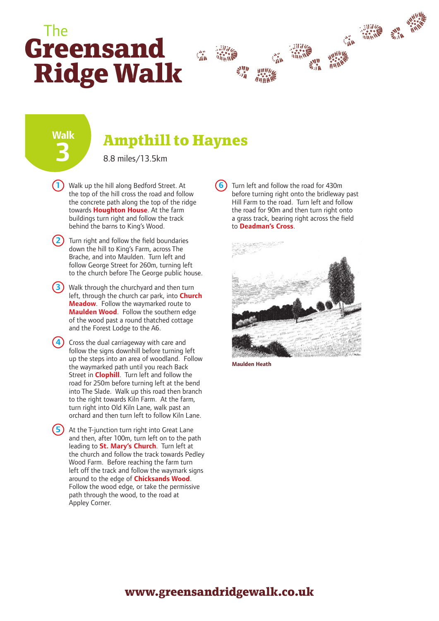## **Greensand Ridge Walk** The



**Walk 3**

## **Ampthill to Haynes**

8.8 miles/13.5km

- **1** Walk up the hill along Bedford Street. At **6** the top of the hill cross the road and follow the concrete path along the top of the ridge towards **Houghton House**. At the farm buildings turn right and follow the track behind the barns to King's Wood.
- **2)** Turn right and follow the field boundaries down the hill to King's Farm, across The Brache, and into Maulden. Turn left and follow George Street for 260m, turning left to the church before The George public house.
- **3**) Walk through the churchyard and then turn left, through the church car park, into **Church Meadow**. Follow the waymarked route to **Maulden Wood**. Follow the southern edge of the wood past a round thatched cottage and the Forest Lodge to the A6.
- **4)** Cross the dual carriageway with care and follow the signs downhill before turning left up the steps into an area of woodland. Follow the waymarked path until you reach Back Street in **Clophill**. Turn left and follow the road for 250m before turning left at the bend into The Slade. Walk up this road then branch to the right towards Kiln Farm. At the farm, turn right into Old Kiln Lane, walk past an orchard and then turn left to follow Kiln Lane.

**5** At the T-junction turn right into Great Lane and then, after 100m, turn left on to the path leading to **St. Mary's Church**. Turn left at the church and follow the track towards Pedley Wood Farm. Before reaching the farm turn left off the track and follow the waymark signs around to the edge of **Chicksands Wood**. Follow the wood edge, or take the permissive path through the wood, to the road at Appley Corner.

Turn left and follow the road for 430m before turning right onto the bridleway past Hill Farm to the road. Turn left and follow the road for 90m and then turn right onto a grass track, bearing right across the field to **Deadman's Cross**.



**Maulden Heath**